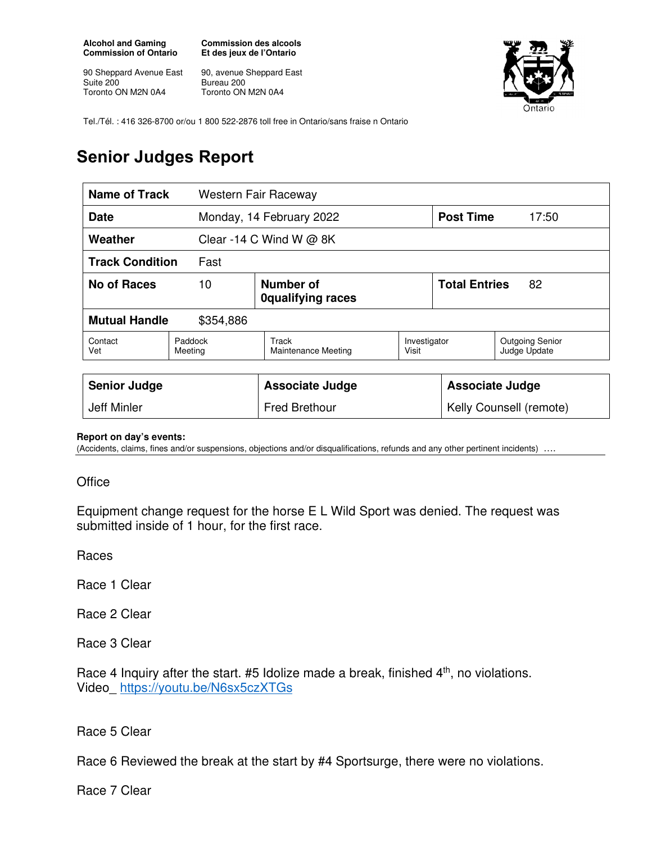**Alcohol and Gaming Commission of Ontario** 

90 Sheppard Avenue East Suite 200 Toronto ON M2N 0A4

**Commission des alcools Et des jeux de l'Ontario** 

90, avenue Sheppard East Bureau 200 Toronto ON M2N 0A4



Tel./Tél. : 416 326-8700 or/ou 1 800 522-2876 toll free in Ontario/sans fraise n Ontario

## **Senior Judges Report**

| Name of Track<br>Western Fair Raceway |                                             |                              |                       |                            |                                        |
|---------------------------------------|---------------------------------------------|------------------------------|-----------------------|----------------------------|----------------------------------------|
| <b>Date</b>                           |                                             | Monday, 14 February 2022     |                       | <b>Post Time</b>           | 17:50                                  |
| Weather<br>Clear -14 C Wind W $@$ 8K  |                                             |                              |                       |                            |                                        |
| <b>Track Condition</b><br>Fast        |                                             |                              |                       |                            |                                        |
| No of Races                           | Number of<br>10<br><b>Oqualifying races</b> |                              |                       | <b>Total Entries</b><br>82 |                                        |
| <b>Mutual Handle</b><br>\$354,886     |                                             |                              |                       |                            |                                        |
| Contact<br>Vet                        | Paddock<br>Meeting                          | Track<br>Maintenance Meeting | Investigator<br>Visit |                            | <b>Outgoing Senior</b><br>Judge Update |
|                                       |                                             |                              |                       |                            |                                        |
| <b>Senior Judge</b>                   |                                             | <b>Associate Judge</b>       |                       | <b>Associate Judge</b>     |                                        |
| Jeff Minler                           |                                             | <b>Fred Brethour</b>         |                       | Kelly Counsell (remote)    |                                        |

## **Report on day's events:**

(Accidents, claims, fines and/or suspensions, objections and/or disqualifications, refunds and any other pertinent incidents) ….

## **Office**

Equipment change request for the horse E L Wild Sport was denied. The request was submitted inside of 1 hour, for the first race.

Races

Race 1 Clear

Race 2 Clear

Race 3 Clear

Race 4 Inquiry after the start.  $#5$  Idolize made a break, finished  $4<sup>th</sup>$ , no violations. Video\_ https://youtu.be/N6sx5czXTGs

Race 5 Clear

Race 6 Reviewed the break at the start by #4 Sportsurge, there were no violations.

Race 7 Clear